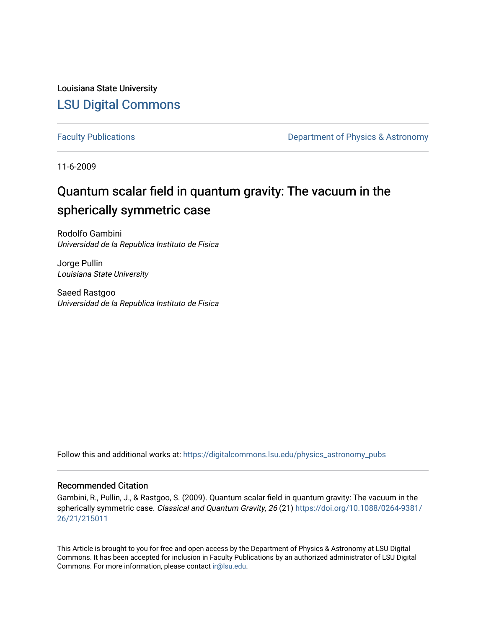Louisiana State University [LSU Digital Commons](https://digitalcommons.lsu.edu/)

[Faculty Publications](https://digitalcommons.lsu.edu/physics_astronomy_pubs) **Exercise 2 and Table 2 and Table 2 and Table 2 and Table 2 and Table 2 and Table 2 and Table 2 and Table 2 and Table 2 and Table 2 and Table 2 and Table 2 and Table 2 and Table 2 and Table 2 and Table** 

11-6-2009

# Quantum scalar field in quantum gravity: The vacuum in the spherically symmetric case

Rodolfo Gambini Universidad de la Republica Instituto de Fisica

Jorge Pullin Louisiana State University

Saeed Rastgoo Universidad de la Republica Instituto de Fisica

Follow this and additional works at: [https://digitalcommons.lsu.edu/physics\\_astronomy\\_pubs](https://digitalcommons.lsu.edu/physics_astronomy_pubs?utm_source=digitalcommons.lsu.edu%2Fphysics_astronomy_pubs%2F4350&utm_medium=PDF&utm_campaign=PDFCoverPages) 

# Recommended Citation

Gambini, R., Pullin, J., & Rastgoo, S. (2009). Quantum scalar field in quantum gravity: The vacuum in the spherically symmetric case. Classical and Quantum Gravity, 26 (21) [https://doi.org/10.1088/0264-9381/](https://doi.org/10.1088/0264-9381/26/21/215011) [26/21/215011](https://doi.org/10.1088/0264-9381/26/21/215011)

This Article is brought to you for free and open access by the Department of Physics & Astronomy at LSU Digital Commons. It has been accepted for inclusion in Faculty Publications by an authorized administrator of LSU Digital Commons. For more information, please contact [ir@lsu.edu](mailto:ir@lsu.edu).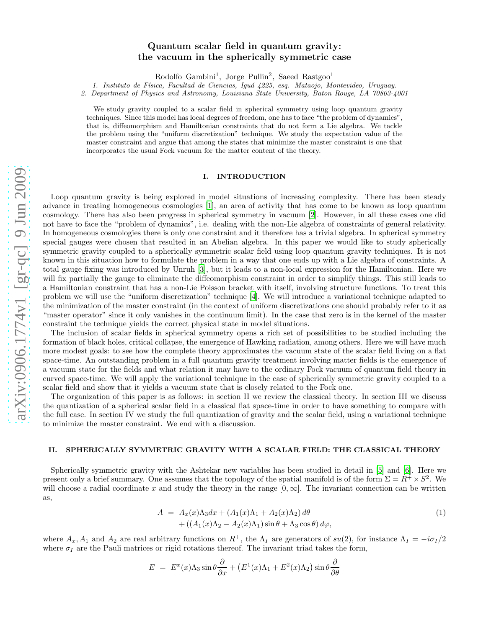# Quantum scalar field in quantum gravity: the vacuum in the spherically symmetric case

Rodolfo Gambini<sup>1</sup>, Jorge Pullin<sup>2</sup>, Saeed Rastgoo<sup>1</sup>

1. Instituto de F´ısica, Facultad de Ciencias, Igu´a 4225, esq. Mataojo, Montevideo, Uruguay.

2. Department of Physics and Astronomy, Louisiana State University, Baton Rouge, LA 70803-4001

We study gravity coupled to a scalar field in spherical symmetry using loop quantum gravity techniques. Since this model has local degrees of freedom, one has to face "the problem of dynamics", that is, diffeomorphism and Hamiltonian constraints that do not form a Lie algebra. We tackle the problem using the "uniform discretization" technique. We study the expectation value of the master constraint and argue that among the states that minimize the master constraint is one that incorporates the usual Fock vacuum for the matter content of the theory.

## I. INTRODUCTION

Loop quantum gravity is being explored in model situations of increasing complexity. There has been steady advance in treating homogeneous cosmologies [\[1\]](#page-14-0), an area of activity that has come to be known as loop quantum cosmology. There has also been progress in spherical symmetry in vacuum [\[2](#page-14-1)]. However, in all these cases one did not have to face the "problem of dynamics", i.e. dealing with the non-Lie algebra of constraints of general relativity. In homogeneous cosmologies there is only one constraint and it therefore has a trivial algebra. In spherical symmetry special gauges were chosen that resulted in an Abelian algebra. In this paper we would like to study spherically symmetric gravity coupled to a spherically symmetric scalar field using loop quantum gravity techniques. It is not known in this situation how to formulate the problem in a way that one ends up with a Lie algebra of constraints. A total gauge fixing was introduced by Unruh [\[3\]](#page-15-0), but it leads to a non-local expression for the Hamiltonian. Here we will fix partially the gauge to eliminate the diffeomorphism constraint in order to simplify things. This still leads to a Hamiltonian constraint that has a non-Lie Poisson bracket with itself, involving structure functions. To treat this problem we will use the "uniform discretization" technique [\[4](#page-15-1)]. We will introduce a variational technique adapted to the minimization of the master constraint (in the context of uniform discretizations one should probably refer to it as "master operator" since it only vanishes in the continuum limit). In the case that zero is in the kernel of the master constraint the technique yields the correct physical state in model situations.

The inclusion of scalar fields in spherical symmetry opens a rich set of possibilities to be studied including the formation of black holes, critical collapse, the emergence of Hawking radiation, among others. Here we will have much more modest goals: to see how the complete theory approximates the vacuum state of the scalar field living on a flat space-time. An outstanding problem in a full quantum gravity treatment involving matter fields is the emergence of a vacuum state for the fields and what relation it may have to the ordinary Fock vacuum of quantum field theory in curved space-time. We will apply the variational technique in the case of spherically symmetric gravity coupled to a scalar field and show that it yields a vacuum state that is closely related to the Fock one.

The organization of this paper is as follows: in section II we review the classical theory. In section III we discuss the quantization of a spherical scalar field in a classical flat space-time in order to have something to compare with the full case. In section IV we study the full quantization of gravity and the scalar field, using a variational technique to minimize the master constraint. We end with a discussion.

## II. SPHERICALLY SYMMETRIC GRAVITY WITH A SCALAR FIELD: THE CLASSICAL THEORY

Spherically symmetric gravity with the Ashtekar new variables has been studied in detail in [\[5\]](#page-15-2) and [\[6\]](#page-15-3). Here we present only a brief summary. One assumes that the topology of the spatial manifold is of the form  $\Sigma = R^+ \times S^2$ . We will choose a radial coordinate x and study the theory in the range  $[0, \infty]$ . The invariant connection can be written as,

$$
A = A_x(x)\Lambda_3 dx + (A_1(x)\Lambda_1 + A_2(x)\Lambda_2) d\theta + ((A_1(x)\Lambda_2 - A_2(x)\Lambda_1)\sin\theta + \Lambda_3\cos\theta) d\varphi,
$$
 (1)

where  $A_x$ ,  $A_1$  and  $A_2$  are real arbitrary functions on  $R^+$ , the  $\Lambda_I$  are generators of  $su(2)$ , for instance  $\Lambda_I = -i\sigma_I/2$ where  $\sigma_I$  are the Pauli matrices or rigid rotations thereof. The invariant triad takes the form,

$$
E = E^x(x)\Lambda_3 \sin \theta \frac{\partial}{\partial x} + (E^1(x)\Lambda_1 + E^2(x)\Lambda_2) \sin \theta \frac{\partial}{\partial \theta}
$$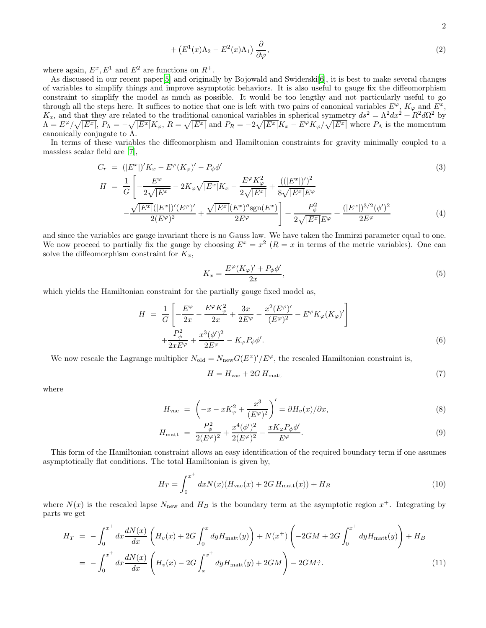$$
(E^1(x)\Lambda_2 - E^2(x)\Lambda_1) \frac{\partial}{\partial \varphi},\tag{2}
$$

where again,  $E^x, E^1$  and  $E^2$  are functions on  $R^+$ .

 $+$ 

As discussed in our recent paper<sup>[\[5\]](#page-15-2)</sup> and originally by Bojowald and Swiderski<sup>[\[6\]](#page-15-3)</sup>, it is best to make several changes of variables to simplify things and improve asymptotic behaviors. It is also useful to gauge fix the diffeomorphism constraint to simplify the model as much as possible. It would be too lengthy and not particularly useful to go through all the steps here. It suffices to notice that one is left with two pairs of canonical variables  $E^{\varphi}$ ,  $K_{\varphi}$  and  $E^x$ ,  $K_x$ , and that they are related to the traditional canonical variables in spherical symmetry  $ds^2 = \Lambda^2 dx^2 + R^2 d\Omega^2$  by  $\Lambda = E^{\varphi}/\sqrt{|E^x|}, P_{\Lambda} = -\sqrt{|E^x|}K_{\varphi}, R = \sqrt{|E^x|}$  and  $P_R = -2\sqrt{|E^x|}K_x - E^{\varphi}K_{\varphi}/\sqrt{|E^x|}$  where  $P_{\Lambda}$  is the momentum canonically conjugate to Λ.

In terms of these variables the diffeomorphism and Hamiltonian constraints for gravity minimally coupled to a massless scalar field are [\[7\]](#page-15-4),

$$
C_r = (|E^x|)'K_x - E^\varphi(K_\varphi)' - P_\phi \phi'
$$
\n
$$
H = \frac{1}{G} \left[ -\frac{E^\varphi}{2\sqrt{|E^x|}} - 2K_\varphi \sqrt{|E^x|} K_x - \frac{E^\varphi K_\varphi^2}{2\sqrt{|E^x|}} + \frac{((|E^x|)')^2}{8\sqrt{|E^x|} E^\varphi} - \frac{\sqrt{|E^x|}(|E^x|)' (E^\varphi)'}{2(E^\varphi)^2} + \frac{\sqrt{|E^x|} (E^x)'' \text{sgn}(E^x)}{2E^\varphi} \right] + \frac{P_\phi^2}{2\sqrt{|E^x|} E^\varphi} + \frac{(|E^x|)^{3/2} (\phi')^2}{2E^\varphi} \tag{4}
$$

and since the variables are gauge invariant there is no Gauss law. We have taken the Immirzi parameter equal to one. We now proceed to partially fix the gauge by choosing  $E^x = x^2$  ( $R = x$  in terms of the metric variables). One can solve the diffeomorphism constraint for  $K_x$ ,

$$
K_x = \frac{E^{\varphi}(K_{\varphi})' + P_{\phi}\phi'}{2x},\tag{5}
$$

which yields the Hamiltonian constraint for the partially gauge fixed model as,

$$
H = \frac{1}{G} \left[ -\frac{E^{\varphi}}{2x} - \frac{E^{\varphi} K_{\varphi}^{2}}{2x} + \frac{3x}{2E^{\varphi}} - \frac{x^{2} (E^{\varphi})'}{(E^{\varphi})^{2}} - E^{\varphi} K_{\varphi} (K_{\varphi})' \right] + \frac{P_{\phi}^{2}}{2x E^{\varphi}} + \frac{x^{3} (\phi')^{2}}{2E^{\varphi}} - K_{\varphi} P_{\phi} \phi'. \tag{6}
$$

We now rescale the Lagrange multiplier  $N_{old} = N_{new} G(E^x)'/E^{\varphi}$ , the rescaled Hamiltonian constraint is,

$$
H = H_{\text{vac}} + 2G \, H_{\text{matt}} \tag{7}
$$

where

$$
H_{\text{vac}} = \left(-x - xK_{\varphi}^2 + \frac{x^3}{(E^{\varphi})^2}\right)' = \partial H_v(x)/\partial x,\tag{8}
$$

$$
H_{\text{matt}} = \frac{P_{\phi}^2}{2(E^{\varphi})^2} + \frac{x^4(\phi')^2}{2(E^{\varphi})^2} - \frac{xK_{\varphi}P_{\phi}\phi'}{E^{\varphi}}.
$$
\n(9)

This form of the Hamiltonian constraint allows an easy identification of the required boundary term if one assumes asymptotically flat conditions. The total Hamiltonian is given by,

$$
H_T = \int_0^{x^+} dx N(x) (H_{\text{vac}}(x) + 2G H_{\text{matt}}(x)) + H_B
$$
\n(10)

where  $N(x)$  is the rescaled lapse  $N_{\text{new}}$  and  $H_B$  is the boundary term at the asymptotic region  $x^+$ . Integrating by parts we get

$$
H_T = -\int_0^{x^+} dx \frac{dN(x)}{dx} \left( H_v(x) + 2G \int_0^x dy H_{\text{matt}}(y) \right) + N(x^+) \left( -2GM + 2G \int_0^{x^+} dy H_{\text{matt}}(y) \right) + H_B
$$
  
= 
$$
-\int_0^{x^+} dx \frac{dN(x)}{dx} \left( H_v(x) - 2G \int_x^{x^+} dy H_{\text{matt}}(y) + 2GM \right) - 2GM\dot{\tau}.
$$
 (11)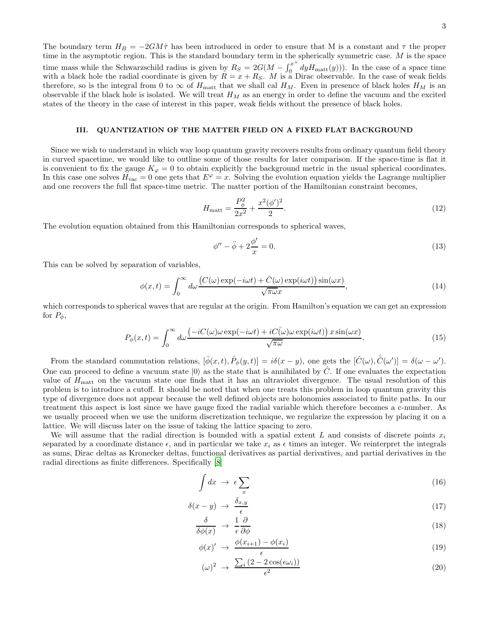The boundary term  $H_B = -2GM\dot{\tau}$  has been introduced in order to ensure that M is a constant and  $\tau$  the proper time in the asymptotic region. This is the standard boundary term in the spherically symmetric case.  $M$  is the space time mass while the Schwarzschild radius is given by  $R_S = 2G(M - \int_0^{x^+}$  $\int_0^x dy H_{\text{matt}}(y)$ ). In the case of a space time with a black hole the radial coordinate is given by  $R = x + R_S$ . M is a Dirac observable. In the case of weak fields therefore, so is the integral from 0 to  $\infty$  of  $H_{\text{matt}}$  that we shall cal  $H_M$ . Even in presence of black holes  $H_M$  is an observable if the black hole is isolated. We will treat  $H_M$  as an energy in order to define the vacuum and the excited states of the theory in the case of interest in this paper, weak fields without the presence of black holes.

# III. QUANTIZATION OF THE MATTER FIELD ON A FIXED FLAT BACKGROUND

Since we wish to understand in which way loop quantum gravity recovers results from ordinary quantum field theory in curved spacetime, we would like to outline some of those results for later comparison. If the space-time is flat it is convenient to fix the gauge  $K_{\varphi} = 0$  to obtain explicitly the background metric in the usual spherical coordinates. In this case one solves  $H_{\text{vac}} = 0$  one gets that  $E^{\varphi} = x$ . Solving the evolution equation yields the Lagrange multiplier and one recovers the full flat space-time metric. The matter portion of the Hamiltonian constraint becomes,

$$
H_{\text{matt}} = \frac{P_{\phi}^2}{2x^2} + \frac{x^2(\phi')^2}{2}.
$$
\n(12)

The evolution equation obtained from this Hamiltonian corresponds to spherical waves,

$$
\phi'' - \ddot{\phi} + 2\frac{\phi'}{x} = 0.
$$
\n<sup>(13)</sup>

This can be solved by separation of variables,

$$
\phi(x,t) = \int_0^\infty d\omega \frac{\left(C(\omega)\exp(-i\omega t) + \bar{C}(\omega)\exp(i\omega t)\right)\sin(\omega x)}{\sqrt{\pi \omega x}},\tag{14}
$$

which corresponds to spherical waves that are regular at the origin. From Hamilton's equation we can get an expression for  $P_{\phi}$ ,

$$
P_{\phi}(x,t) = \int_0^{\infty} d\omega \frac{\left(-iC(\omega)\omega \exp(-i\omega t) + iC(\bar{\omega})\omega \exp(i\omega t)\right)x \sin(\omega x)}{\sqrt{\pi \omega}}.
$$
 (15)

From the standard commutation relations,  $[\hat{\phi}(x,t), \hat{P}_{\phi}(y,t)] = i\delta(x-y)$ , one gets the  $[\hat{C}(\omega), \hat{C}(\omega')] = \delta(\omega - \omega')$ . One can proceed to define a vacuum state  $|0\rangle$  as the state that is annihilated by  $\hat{C}$ . If one evaluates the expectation value of  $H_{\text{matt}}$  on the vacuum state one finds that it has an ultraviolet divergence. The usual resolution of this problem is to introduce a cutoff. It should be noted that when one treats this problem in loop quantum gravity this type of divergence does not appear because the well defined objects are holonomies associated to finite paths. In our treatment this aspect is lost since we have gauge fixed the radial variable which therefore becomes a c-number. As we usually proceed when we use the uniform discretization technique, we regularize the expression by placing it on a lattice. We will discuss later on the issue of taking the lattice spacing to zero.

We will assume that the radial direction is bounded with a spatial extent L and consists of discrete points  $x_i$ separated by a coordinate distance  $\epsilon$ , and in particular we take  $x_i$  as  $\epsilon$  times an integer. We reinterpret the integrals as sums, Dirac deltas as Kronecker deltas, functional derivatives as partial derivatives, and partial derivatives in the radial directions as finite differences. Specifically [\[8\]](#page-15-5)

$$
\int dx \rightarrow \epsilon \sum_{x} \tag{16}
$$

$$
\delta(x - y) \rightarrow \frac{\delta_{x,y}}{\epsilon} \tag{17}
$$

$$
\frac{\delta}{\delta\phi(x)} \to \frac{1}{\epsilon} \frac{\partial}{\partial\phi} \tag{18}
$$

$$
\phi(x) \rightarrow \frac{\phi(x_{i+1}) - \phi(x_i)}{\epsilon} \tag{19}
$$

$$
(\omega)^2 \rightarrow \frac{\sum_i (2 - 2\cos(\epsilon\omega_i))}{\epsilon^2} \tag{20}
$$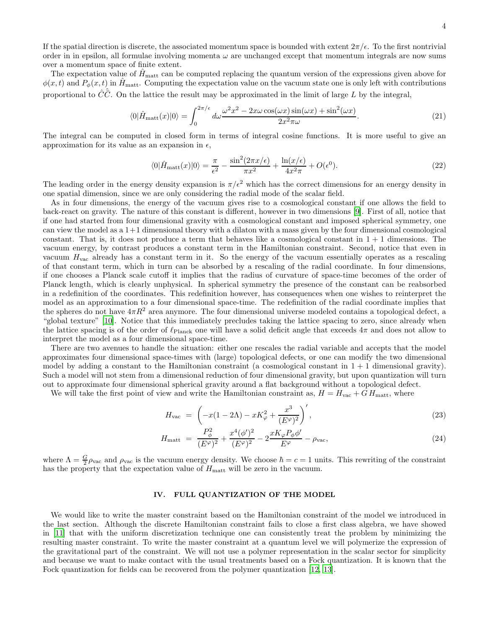If the spatial direction is discrete, the associated momentum space is bounded with extent  $2\pi/\epsilon$ . To the first nontrivial order in in epsilon, all formulae involving momenta  $\omega$  are unchanged except that momentum integrals are now sums over a momentum space of finite extent.

The expectation value of  $\hat{H}_{\text{matt}}$  can be computed replacing the quantum version of the expressions given above for  $\phi(x, t)$  and  $P_{\phi}(x, t)$  in  $\hat{H}_{\text{matt}}$ . Computing the expectation value on the vacuum state one is only left with contributions proportional to  $\hat{C}\hat{\bar{C}}$ . On the lattice the result may be approximated in the limit of large L by the integral,

$$
\langle 0|\hat{H}_{\text{matt}}(x)|0\rangle = \int_0^{2\pi/\epsilon} d\omega \frac{\omega^2 x^2 - 2x\omega \cos(\omega x)\sin(\omega x) + \sin^2(\omega x)}{2x^2 \pi \omega}.
$$
\n(21)

The integral can be computed in closed form in terms of integral cosine functions. It is more useful to give an approximation for its value as an expansion in  $\epsilon$ ,

$$
\langle 0|\hat{H}_{\text{matt}}(x)|0\rangle = \frac{\pi}{\epsilon^2} - \frac{\sin^2(2\pi x/\epsilon)}{\pi x^2} + \frac{\ln(x/\epsilon)}{4x^2\pi} + O(\epsilon^0). \tag{22}
$$

The leading order in the energy density expansion is  $\pi/\epsilon^2$  which has the correct dimensions for an energy density in one spatial dimension, since we are only considering the radial mode of the scalar field.

As in four dimensions, the energy of the vacuum gives rise to a cosmological constant if one allows the field to back-react on gravity. The nature of this constant is different, however in two dimensions [\[9\]](#page-15-6). First of all, notice that if one had started from four dimensional gravity with a cosmological constant and imposed spherical symmetry, one can view the model as a 1+1 dimensional theory with a dilaton with a mass given by the four dimensional cosmological constant. That is, it does not produce a term that behaves like a cosmological constant in  $1 + 1$  dimensions. The vacuum energy, by contrast produces a constant term in the Hamiltonian constraint. Second, notice that even in vacuum  $H_{\text{vac}}$  already has a constant term in it. So the energy of the vacuum essentially operates as a rescaling of that constant term, which in turn can be absorbed by a rescaling of the radial coordinate. In four dimensions, if one chooses a Planck scale cutoff it implies that the radius of curvature of space-time becomes of the order of Planck length, which is clearly unphysical. In spherical symmetry the presence of the constant can be reabsorbed in a redefinition of the coordinates. This redefinition however, has consequences when one wishes to reinterpret the model as an approximation to a four dimensional space-time. The redefinition of the radial coordinate implies that the spheres do not have  $4\pi R^2$  area anymore. The four dimensional universe modeled contains a topological defect, a "global texture" [\[10](#page-15-7)]. Notice that this immediately precludes taking the lattice spacing to zero, since already when the lattice spacing is of the order of  $\ell_{\text{Planck}}$  one will have a solid deficit angle that exceeds  $4\pi$  and does not allow to interpret the model as a four dimensional space-time.

There are two avenues to handle the situation: either one rescales the radial variable and accepts that the model approximates four dimensional space-times with (large) topological defects, or one can modify the two dimensional model by adding a constant to the Hamiltonian constraint (a cosmological constant in  $1 + 1$  dimensional gravity). Such a model will not stem from a dimensional reduction of four dimensional gravity, but upon quantization will turn out to approximate four dimensional spherical gravity around a flat background without a topological defect.

We will take the first point of view and write the Hamiltonian constraint as,  $H = H_{\text{vac}} + G H_{\text{matt}}$ , where

<span id="page-4-0"></span>
$$
H_{\text{vac}} = \left( -x(1 - 2\Lambda) - xK_{\varphi}^{2} + \frac{x^{3}}{(E^{\varphi})^{2}} \right)^{\prime}, \qquad (23)
$$

$$
H_{\text{matt}} = \frac{P_{\phi}^{2}}{(E^{\varphi})^{2}} + \frac{x^{4}(\phi')^{2}}{(E^{\varphi})^{2}} - 2\frac{xK_{\varphi}P_{\phi}\phi'}{E^{\varphi}} - \rho_{\text{vac}},
$$
\n(24)

where  $\Lambda = \frac{G}{2}\rho_{\text{vac}}$  and  $\rho_{\text{vac}}$  is the vacuum energy density. We choose  $\hbar = c = 1$  units. This rewriting of the constraint has the property that the expectation value of  $H_{\text{matt}}$  will be zero in the vacuum.

# IV. FULL QUANTIZATION OF THE MODEL

We would like to write the master constraint based on the Hamiltonian constraint of the model we introduced in the last section. Although the discrete Hamiltonian constraint fails to close a first class algebra, we have showed in [\[11\]](#page-15-8) that with the uniform discretization technique one can consistently treat the problem by minimizing the resulting master constraint. To write the master constraint at a quantum level we will polymerize the expression of the gravitational part of the constraint. We will not use a polymer representation in the scalar sector for simplicity and because we want to make contact with the usual treatments based on a Fock quantization. It is known that the Fock quantization for fields can be recovered from the polymer quantization [\[12,](#page-15-9) [13\]](#page-15-10).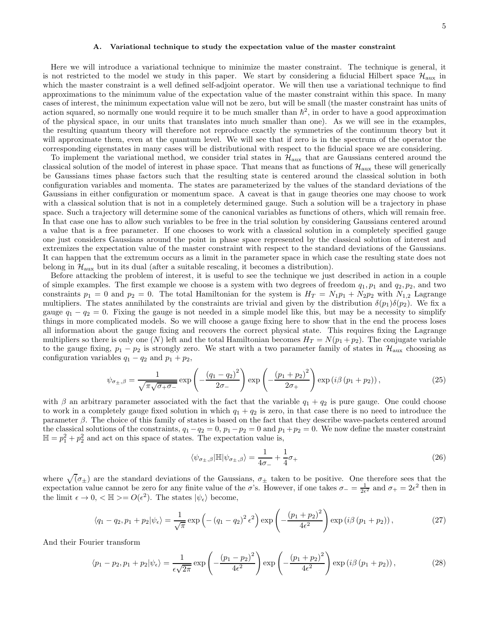#### A. Variational technique to study the expectation value of the master constraint

Here we will introduce a variational technique to minimize the master constraint. The technique is general, it is not restricted to the model we study in this paper. We start by considering a fiducial Hilbert space  $\mathcal{H}_{\text{aux}}$  in which the master constraint is a well defined self-adjoint operator. We will then use a variational technique to find approximations to the minimum value of the expectation value of the master constraint within this space. In many cases of interest, the minimum expectation value will not be zero, but will be small (the master constraint has units of action squared, so normally one would require it to be much smaller than  $\hbar^2$ , in order to have a good approximation of the physical space, in our units that translates into much smaller than one). As we will see in the examples, the resulting quantum theory will therefore not reproduce exactly the symmetries of the continuum theory but it will approximate them, even at the quantum level. We will see that if zero is in the spectrum of the operator the corresponding eigenstates in many cases will be distributional with respect to the fiducial space we are considering.

To implement the variational method, we consider trial states in  $\mathcal{H}_{aux}$  that are Gaussians centered around the classical solution of the model of interest in phase space. That means that as functions of  $\mathcal{H}_{\text{aux}}$  these will generically be Gaussians times phase factors such that the resulting state is centered around the classical solution in both configuration variables and momenta. The states are parameterized by the values of the standard deviations of the Gaussians in either configuration or momentum space. A caveat is that in gauge theories one may choose to work with a classical solution that is not in a completely determined gauge. Such a solution will be a trajectory in phase space. Such a trajectory will determine some of the canonical variables as functions of others, which will remain free. In that case one has to allow such variables to be free in the trial solution by considering Gaussians centered around a value that is a free parameter. If one chooses to work with a classical solution in a completely specified gauge one just considers Gaussians around the point in phase space represented by the classical solution of interest and extremizes the expectation value of the master constraint with respect to the standard deviations of the Gaussians. It can happen that the extremum occurs as a limit in the parameter space in which case the resulting state does not belong in  $\mathcal{H}_{\text{aux}}$  but in its dual (after a suitable rescaling, it becomes a distribution).

Before attacking the problem of interest, it is useful to see the technique we just described in action in a couple of simple examples. The first example we choose is a system with two degrees of freedom  $q_1, p_1$  and  $q_2, p_2$ , and two constraints  $p_1 = 0$  and  $p_2 = 0$ . The total Hamiltonian for the system is  $H_T = N_1p_1 + N_2p_2$  with  $N_{1,2}$  Lagrange multipliers. The states annihilated by the constraints are trivial and given by the distribution  $\delta(p_1)\delta(p_2)$ . We fix a gauge  $q_1 - q_2 = 0$ . Fixing the gauge is not needed in a simple model like this, but may be a necessity to simplify things in more complicated models. So we will choose a gauge fixing here to show that in the end the process loses all information about the gauge fixing and recovers the correct physical state. This requires fixing the Lagrange multipliers so there is only one (N) left and the total Hamiltonian becomes  $H_T = N(p_1 + p_2)$ . The conjugate variable to the gauge fixing,  $p_1 - p_2$  is strongly zero. We start with a two parameter family of states in  $\mathcal{H}_{\text{aux}}$  choosing as configuration variables  $q_1 - q_2$  and  $p_1 + p_2$ ,

<span id="page-5-0"></span>
$$
\psi_{\sigma_{\pm},\beta} = \frac{1}{\sqrt{\pi\sqrt{\sigma_{+}\sigma_{-}}}} \exp\left(-\frac{\left(q_{1}-q_{2}\right)^{2}}{2\sigma_{-}}\right) \exp\left(-\frac{\left(p_{1}+p_{2}\right)^{2}}{2\sigma_{+}}\right) \exp\left(i\beta\left(p_{1}+p_{2}\right)\right),\tag{25}
$$

with  $\beta$  an arbitrary parameter associated with the fact that the variable  $q_1 + q_2$  is pure gauge. One could choose to work in a completely gauge fixed solution in which  $q_1 + q_2$  is zero, in that case there is no need to introduce the parameter β. The choice of this family of states is based on the fact that they describe wave-packets centered around the classical solutions of the constraints,  $q_1 - q_2 = 0$ ,  $p_1 - p_2 = 0$  and  $p_1 + p_2 = 0$ . We now define the master constraint  $\mathbb{H} = p_1^2 + p_2^2$  and act on this space of states. The expectation value is,

$$
\langle \psi_{\sigma_{\pm},\beta} | \mathbb{H} | \psi_{\sigma_{\pm},\beta} \rangle = \frac{1}{4\sigma_{-}} + \frac{1}{4}\sigma_{+}
$$
\n(26)

where  $\sqrt{(\sigma_{\pm})}$  are the standard deviations of the Gaussians,  $\sigma_{\pm}$  taken to be positive. One therefore sees that the expectation value cannot be zero for any finite value of the  $\sigma$ 's. However, if one takes  $\sigma_- = \frac{1}{2\epsilon^2}$  and  $\sigma_+ = 2\epsilon^2$  then in the limit  $\epsilon \to 0, \langle \mathbb{H} \rangle = O(\epsilon^2)$ . The states  $|\psi_{\epsilon}\rangle$  become,

$$
\langle q_1 - q_2, p_1 + p_2 | \psi_\epsilon \rangle = \frac{1}{\sqrt{\pi}} \exp\left(-\left(q_1 - q_2\right)^2 \epsilon^2\right) \exp\left(-\frac{\left(p_1 + p_2\right)^2}{4\epsilon^2}\right) \exp\left(i\beta\left(p_1 + p_2\right)\right),\tag{27}
$$

And their Fourier transform

$$
\langle p_1 - p_2, p_1 + p_2 | \psi_\epsilon \rangle = \frac{1}{\epsilon \sqrt{2\pi}} \exp\left(-\frac{\left(p_1 - p_2\right)^2}{4\epsilon^2}\right) \exp\left(-\frac{\left(p_1 + p_2\right)^2}{4\epsilon^2}\right) \exp\left(i\beta\left(p_1 + p_2\right)\right),\tag{28}
$$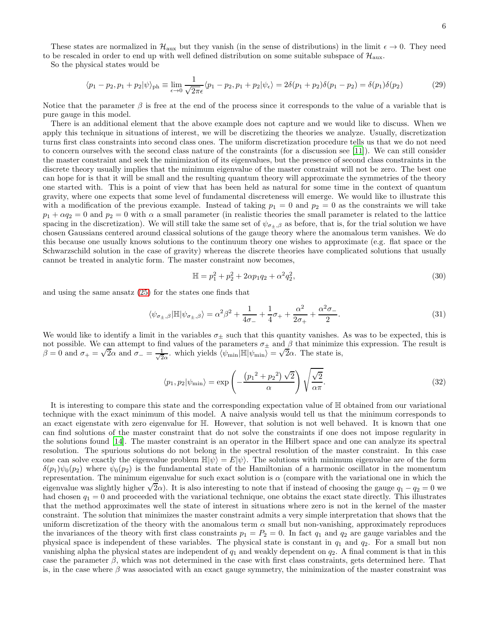These states are normalized in  $\mathcal{H}_{aux}$  but they vanish (in the sense of distributions) in the limit  $\epsilon \to 0$ . They need to be rescaled in order to end up with well defined distribution on some suitable subspace of  $\mathcal{H}_{\text{aux}}$ .

So the physical states would be

$$
\langle p_1 - p_2, p_1 + p_2 | \psi \rangle_{\text{ph}} \equiv \lim_{\epsilon \to 0} \frac{1}{\sqrt{2\pi}\epsilon} \langle p_1 - p_2, p_1 + p_2 | \psi_\epsilon \rangle = 2\delta(p_1 + p_2)\delta(p_1 - p_2) = \delta(p_1)\delta(p_2)
$$
 (29)

Notice that the parameter  $\beta$  is free at the end of the process since it corresponds to the value of a variable that is pure gauge in this model.

There is an additional element that the above example does not capture and we would like to discuss. When we apply this technique in situations of interest, we will be discretizing the theories we analyze. Usually, discretization turns first class constraints into second class ones. The uniform discretization procedure tells us that we do not need to concern ourselves with the second class nature of the constraints (for a discussion see [\[11\]](#page-15-8)). We can still consider the master constraint and seek the minimization of its eigenvalues, but the presence of second class constraints in the discrete theory usually implies that the minimum eigenvalue of the master constraint will not be zero. The best one can hope for is that it will be small and the resulting quantum theory will approximate the symmetries of the theory one started with. This is a point of view that has been held as natural for some time in the context of quantum gravity, where one expects that some level of fundamental discreteness will emerge. We would like to illustrate this with a modification of the previous example. Instead of taking  $p_1 = 0$  and  $p_2 = 0$  as the constraints we will take  $p_1 + \alpha q_2 = 0$  and  $p_2 = 0$  with  $\alpha$  a small parameter (in realistic theories the small parameter is related to the lattice spacing in the discretization). We will still take the same set of  $\psi_{\sigma_{\pm},\beta}$  as before, that is, for the trial solution we have chosen Gaussians centered around classical solutions of the gauge theory where the anomalous term vanishes. We do this because one usually knows solutions to the continuum theory one wishes to approximate (e.g. flat space or the Schwarzschild solution in the case of gravity) whereas the discrete theories have complicated solutions that usually cannot be treated in analytic form. The master constraint now becomes,

$$
\mathbb{H} = p_1^2 + p_2^2 + 2\alpha p_1 q_2 + \alpha^2 q_2^2,\tag{30}
$$

and using the same ansatz [\(25\)](#page-5-0) for the states one finds that

$$
\langle \psi_{\sigma_{\pm},\beta} | \mathbb{H} | \psi_{\sigma_{\pm},\beta} \rangle = \alpha^2 \beta^2 + \frac{1}{4\sigma_{-}} + \frac{1}{4}\sigma_{+} + \frac{\alpha^2}{2\sigma_{+}} + \frac{\alpha^2 \sigma_{-}}{2}.
$$
\n(31)

We would like to identify a limit in the variables  $\sigma_{\pm}$  such that this quantity vanishes. As was to be expected, this is not possible. We can attempt to find values of the parameters  $\sigma_{\pm}$  and  $\beta$  that minimize this expression. The result is  $β = 0$  and  $σ<sub>+</sub> = √2α$  and  $σ<sub>-</sub> = \frac{1}{\sqrt{2}}$  $\frac{1}{2\alpha}$ . which yields  $\langle \psi_{\rm min} | \mathbb{H} | \psi_{\rm min} \rangle = \sqrt{2\alpha}$ . The state is,

$$
\langle p_1, p_2 | \psi_{\min} \rangle = \exp\left(-\frac{\left(p_1^2 + p_2^2\right)\sqrt{2}}{\alpha}\right) \sqrt{\frac{\sqrt{2}}{\alpha \pi}}.\tag{32}
$$

It is interesting to compare this state and the corresponding expectation value of H obtained from our variational technique with the exact minimum of this model. A naive analysis would tell us that the minimum corresponds to an exact eigenstate with zero eigenvalue for H. However, that solution is not well behaved. It is known that one can find solutions of the master constraint that do not solve the constraints if one does not impose regularity in the solutions found [\[14](#page-15-11)]. The master constraint is an operator in the Hilbert space and one can analyze its spectral resolution. The spurious solutions do not belong in the spectral resolution of the master constraint. In this case one can solve exactly the eigenvalue problem  $\mathbb{H}|\psi\rangle = E|\psi\rangle$ . The solutions with minimum eigenvalue are of the form  $\delta(p_1)\psi_0(p_2)$  where  $\psi_0(p_2)$  is the fundamental state of the Hamiltonian of a harmonic oscillator in the momentum representation. The minimum eigenvalue for such exact solution is  $\alpha$  (compare with the variational one in which the eigenvalue was slightly higher  $\sqrt{2}\alpha$ ). It is also interesting to note that if instead of choosing the gauge  $q_1 - q_2 = 0$  we had chosen  $q_1 = 0$  and proceeded with the variational technique, one obtains the exact state directly. This illustrates that the method approximates well the state of interest in situations where zero is not in the kernel of the master constraint. The solution that minimizes the master constraint admits a very simple interpretation that shows that the uniform discretization of the theory with the anomalous term  $\alpha$  small but non-vanishing, approximately reproduces the invariances of the theory with first class constraints  $p_1 = P_2 = 0$ . In fact  $q_1$  and  $q_2$  are gauge variables and the physical space is independent of these variables. The physical state is constant in  $q_1$  and  $q_2$ . For a small but non vanishing alpha the physical states are independent of  $q_1$  and weakly dependent on  $q_2$ . A final comment is that in this case the parameter  $\beta$ , which was not determined in the case with first class constraints, gets determined here. That is, in the case where  $\beta$  was associated with an exact gauge symmetry, the minimization of the master constraint was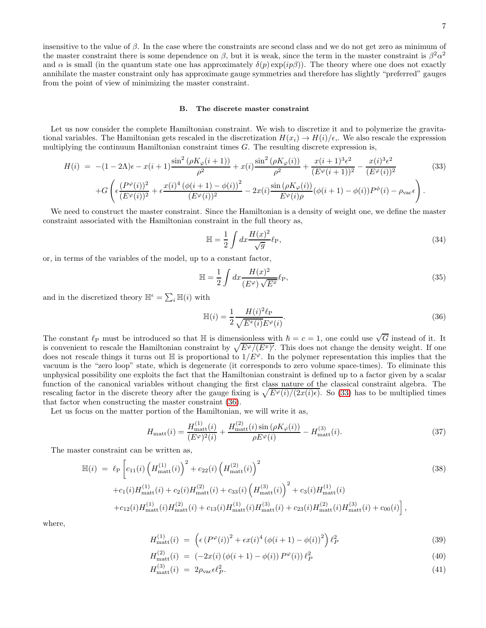7

insensitive to the value of  $\beta$ . In the case where the constraints are second class and we do not get zero as minimum of the master constraint there is some dependence on  $\beta$ , but it is weak, since the term in the master constraint is  $\beta^2 \alpha^2$ and  $\alpha$  is small (in the quantum state one has approximately  $\delta(p) \exp(i p \beta)$ ). The theory where one does not exactly annihilate the master constraint only has approximate gauge symmetries and therefore has slightly "preferred" gauges from the point of view of minimizing the master constraint.

### B. The discrete master constraint

Let us now consider the complete Hamiltonian constraint. We wish to discretize it and to polymerize the gravitational variables. The Hamiltonian gets rescaled in the discretization  $H(x_i) \to H(i)/\epsilon$ . We also rescale the expression multiplying the continuum Hamiltonian constraint times  $G$ . The resulting discrete expression is,

<span id="page-7-0"></span>
$$
H(i) = -(1 - 2\Lambda)\epsilon - x(i+1)\frac{\sin^2(\rho K_{\varphi}(i+1))}{\rho^2} + x(i)\frac{\sin^2(\rho K_{\varphi}(i))}{\rho^2} + \frac{x(i+1)^3\epsilon^2}{(E^{\varphi}(i+1))^2} - \frac{x(i)^3\epsilon^2}{(E^{\varphi}(i))^2} + G\left(\epsilon\frac{(P^{\varphi}(i))^2}{(E^{\varphi}(i))^2} + \epsilon\frac{x(i)^4(\phi(i+1) - \phi(i))^2}{(E^{\varphi}(i))^2} - 2x(i)\frac{\sin(\rho K_{\varphi}(i))}{E^{\varphi}(i)\rho}(\phi(i+1) - \phi(i))P^{\phi}(i) - \rho_{\text{vac}}\epsilon\right).
$$
\n(33)

We need to construct the master constraint. Since the Hamiltonian is a density of weight one, we define the master constraint associated with the Hamiltonian constraint in the full theory as,

$$
\mathbb{H} = \frac{1}{2} \int dx \frac{H(x)^2}{\sqrt{g}} \ell_{\rm P},\tag{34}
$$

or, in terms of the variables of the model, up to a constant factor,

$$
\mathbb{H} = \frac{1}{2} \int dx \frac{H(x)^2}{(E^{\varphi})\sqrt{E^x}} \ell_{\text{P}},\tag{35}
$$

and in the discretized theory  $\mathbb{H}^{\epsilon} = \sum_{i} \mathbb{H}(i)$  with

<span id="page-7-1"></span>
$$
\mathbb{H}(i) = \frac{1}{2} \frac{H(i)^2 \ell_{\text{P}}}{\sqrt{E^x(i)} E^{\varphi}(i)}.
$$
\n(36)

The constant  $\ell_P$  must be introduced so that H is dimensionless with  $\hbar = c = 1$ , one could use  $\sqrt{G}$  instead of it. It is convenient to rescale the Hamiltonian constraint by  $\sqrt{E^{\varphi}/(E^x)}$ . This does not change the density weight. If one does not rescale things it turns out  $\mathbb{H}$  is proportional to  $1/E^{\varphi}$ . In the polymer representation this implies that the vacuum is the "zero loop" state, which is degenerate (it corresponds to zero volume space-times). To eliminate this unphysical possibility one exploits the fact that the Hamiltonian constraint is defined up to a factor given by a scalar function of the canonical variables without changing the first class nature of the classical constraint algebra. The rescaling factor in the discrete theory after the gauge fixing is  $\sqrt{E^{\varphi}(i)/(2x(i)\epsilon)}$ . So [\(33\)](#page-7-0) has to be multiplied times that factor when constructing the master constraint [\(36\)](#page-7-1).

Let us focus on the matter portion of the Hamiltonian, we will write it as,

<span id="page-7-2"></span>
$$
H_{\text{matt}}(i) = \frac{H_{\text{matt}}^{(1)}(i)}{(E^{\varphi})^2(i)} + \frac{H_{\text{matt}}^{(2)}(i)\sin(\rho K_{\varphi}(i))}{\rho E^{\varphi}(i)} - H_{\text{matt}}^{(3)}(i). \tag{37}
$$

The master constraint can be written as,

<span id="page-7-3"></span>
$$
\mathbb{H}(i) = \ell_{\rm P} \left[ c_{11}(i) \left( H_{\rm matt}^{(1)}(i) \right)^2 + c_{22}(i) \left( H_{\rm matt}^{(2)}(i) \right)^2 + c_{1}(i) H_{\rm matt}^{(1)}(i) + c_{2}(i) H_{\rm matt}^{(2)}(i) + c_{33}(i) \left( H_{\rm matt}^{(3)}(i) \right)^2 + c_{3}(i) H_{\rm matt}^{(1)}(i) + c_{12}(i) H_{\rm matt}^{(1)}(i) H_{\rm matt}^{(2)}(i) + c_{13}(i) H_{\rm matt}^{(1)}(i) H_{\rm matt}^{(3)}(i) + c_{23}(i) H_{\rm matt}^{(2)}(i) H_{\rm matt}^{(3)}(i) + c_{00}(i) \right],
$$
\n(38)

where,

$$
H_{\text{matt}}^{(1)}(i) = \left( \epsilon \left( P^{\varphi}(i) \right)^2 + \epsilon x(i)^4 \left( \phi(i+1) - \phi(i) \right)^2 \right) \ell_P^2 \tag{39}
$$

$$
H_{\text{matt}}^{(2)}(i) = (-2x(i)(\phi(i+1) - \phi(i))P^{\varphi}(i))\ell_P^2
$$
\n(40)

$$
H_{\text{matt}}^{(3)}(i) = 2\rho_{\text{vac}}\epsilon \ell_P^2. \tag{41}
$$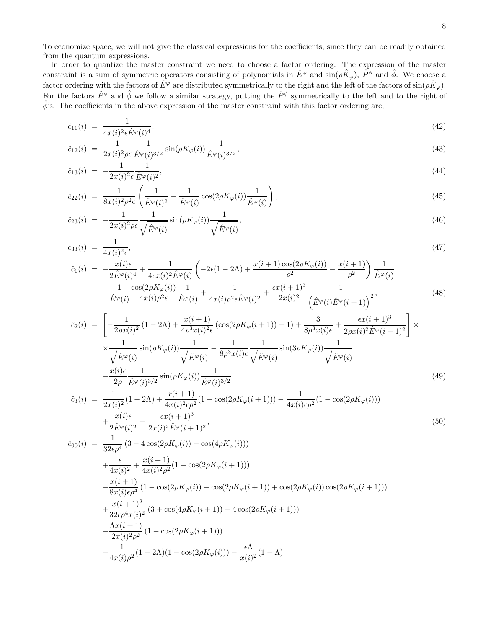To economize space, we will not give the classical expressions for the coefficients, since they can be readily obtained from the quantum expressions.

In order to quantize the master constraint we need to choose a factor ordering. The expression of the master constraint is a sum of symmetric operators consisting of polynomials in  $\hat{E}^{\varphi}$  and  $\sin(\rho \hat{K}_{\varphi})$ ,  $\hat{P}^{\phi}$  and  $\hat{\phi}$ . We choose a factor ordering with the factors of  $\hat{E}^\varphi$  are distributed symmetrically to the right and the left of the factors of  $\sin(\rho \hat{K}_\varphi)$ . For the factors  $\hat{P}^{\phi}$  and  $\hat{\phi}$  we follow a similar strategy, putting the  $\hat{P}^{\phi}$  symmetrically to the left and to the right of  $\hat{\phi}$ 's. The coefficients in the above expression of the master constraint with this factor ordering are,

<span id="page-8-0"></span>
$$
\hat{c}_{11}(i) = \frac{1}{4x(i)^2 \epsilon \hat{E}^\varphi(i)^4},\tag{42}
$$

$$
\hat{c}_{12}(i) = \frac{1}{2x(i)^2 \rho \epsilon} \frac{1}{\hat{E}^{\varphi}(i)^{3/2}} \sin(\rho K_{\varphi}(i)) \frac{1}{\hat{E}^{\varphi}(i)^{3/2}},
$$
\n(43)

$$
\hat{c}_{13}(i) = -\frac{1}{2x(i)^2 \epsilon} \frac{1}{\hat{E}^\varphi(i)^2},\tag{44}
$$

$$
\hat{c}_{22}(i) = \frac{1}{8x(i)^2 \rho^2 \epsilon} \left( \frac{1}{\hat{E}^\varphi(i)^2} - \frac{1}{\hat{E}^\varphi(i)} \cos(2\rho K_\varphi(i)) \frac{1}{\hat{E}^\varphi(i)} \right),\tag{45}
$$

$$
\hat{c}_{23}(i) = -\frac{1}{2x(i)^2 \rho \epsilon} \frac{1}{\sqrt{\hat{E}^{\varphi}(i)}} \sin(\rho K_{\varphi}(i)) \frac{1}{\sqrt{\hat{E}^{\varphi}(i)}},\tag{46}
$$

$$
\hat{c}_{33}(i) = \frac{1}{4x(i)^2 \epsilon},\tag{47}
$$

$$
\hat{c}_{1}(i) = -\frac{x(i)\epsilon}{2\hat{E}^{\varphi}(i)^{4}} + \frac{1}{4\epsilon x(i)^{2}\hat{E}^{\varphi}(i)} \left( -2\epsilon(1 - 2\Lambda) + \frac{x(i+1)\cos(2\rho K_{\varphi}(i))}{\rho^{2}} - \frac{x(i+1)}{\rho^{2}} \right) \frac{1}{\hat{E}^{\varphi}(i)} \n- \frac{1}{\hat{E}^{\varphi}(i)} \frac{\cos(2\rho K_{\varphi}(i))}{4x(i)\rho^{2}\epsilon} \frac{1}{\hat{E}^{\varphi}(i)} + \frac{1}{4x(i)\rho^{2}\epsilon\hat{E}^{\varphi}(i)^{2}} + \frac{\epsilon x(i+1)^{3}}{2x(i)^{2}} \frac{1}{(\hat{E}^{\varphi}(i)\hat{E}^{\varphi}(i+1))^{2}},
$$
\n(48)

$$
\hat{c}_{2}(i) = \left[ -\frac{1}{2\rho x(i)^{2}} (1 - 2\Lambda) + \frac{x(i+1)}{4\rho^{3} x(i)^{2} \epsilon} (\cos(2\rho K_{\varphi}(i+1)) - 1) + \frac{3}{8\rho^{3} x(i) \epsilon} + \frac{\epsilon x(i+1)^{3}}{2\rho x(i)^{2} \hat{E}^{\varphi}(i+1)^{2}} \right] \times \frac{1}{\sqrt{\hat{E}^{\varphi}(i)}} \sin(\rho K_{\varphi}(i)) \frac{1}{\sqrt{\hat{E}^{\varphi}(i)}} - \frac{1}{8\rho^{3} x(i) \epsilon} \frac{1}{\sqrt{\hat{E}^{\varphi}(i)}} \sin(3\rho K_{\varphi}(i)) \frac{1}{\sqrt{\hat{E}^{\varphi}(i)}}
$$
\n
$$
-\frac{x(i) \epsilon}{2\rho} \frac{1}{\hat{E}^{\varphi}(i)^{3/2}} \sin(\rho K_{\varphi}(i)) \frac{1}{\hat{E}^{\varphi}(i)^{3/2}} \tag{49}
$$

$$
\hat{c}_3(i) = \frac{1}{2x(i)^2} (1 - 2\Lambda) + \frac{x(i+1)}{4x(i)^2 \epsilon \rho^2} (1 - \cos(2\rho K_\varphi(i+1))) - \frac{1}{4x(i)\epsilon \rho^2} (1 - \cos(2\rho K_\varphi(i))) \n+ \frac{x(i)\epsilon}{2\hat{E}^\varphi(i)^2} - \frac{\epsilon x(i+1)^3}{2x(i)^2 \hat{E}^\varphi(i+1)^2},
$$
\n(50)

$$
\begin{split}\n\hat{c}_{00}(i) &= \frac{1}{32\epsilon\rho^4} \left( 3 - 4\cos(2\rho K_{\varphi}(i)) + \cos(4\rho K_{\varphi}(i)) \right) \\
&+ \frac{\epsilon}{4x(i)^2} + \frac{x(i+1)}{4x(i)^2\rho^2} (1 - \cos(2\rho K_{\varphi}(i+1))) \\
&- \frac{x(i+1)}{8x(i)\epsilon\rho^4} \left( 1 - \cos(2\rho K_{\varphi}(i)) - \cos(2\rho K_{\varphi}(i+1)) + \cos(2\rho K_{\varphi}(i))\cos(2\rho K_{\varphi}(i+1)) \right) \\
&+ \frac{x(i+1)^2}{32\epsilon\rho^4 x(i)^2} \left( 3 + \cos(4\rho K_{\varphi}(i+1)) - 4\cos(2\rho K_{\varphi}(i+1)) \right) \\
&- \frac{\Lambda x(i+1)}{2x(i)^2\rho^2} \left( 1 - \cos(2\rho K_{\varphi}(i+1)) \right) \\
&- \frac{1}{4x(i)\rho^2} (1 - 2\Lambda)(1 - \cos(2\rho K_{\varphi}(i))) - \frac{\epsilon\Lambda}{x(i)^2} (1 - \Lambda)\n\end{split}
$$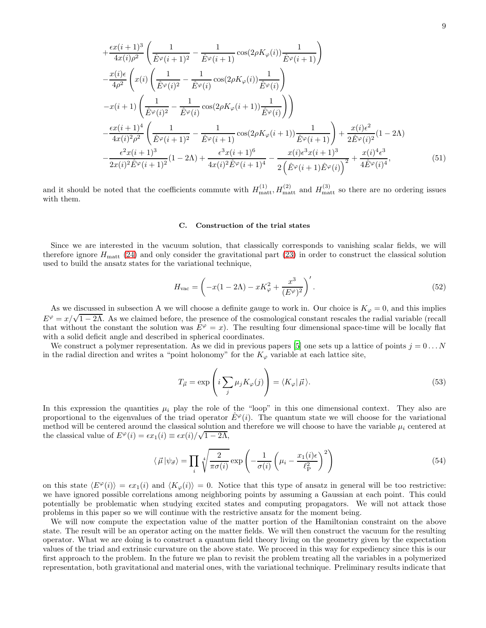$$
+\frac{\epsilon x(i+1)^3}{4x(i)\rho^2} \left( \frac{1}{\hat{E}^{\varphi}(i+1)^2} - \frac{1}{\hat{E}^{\varphi}(i+1)} \cos(2\rho K_{\varphi}(i)) \frac{1}{\hat{E}^{\varphi}(i+1)} \right) -\frac{x(i)\epsilon}{4\rho^2} \left( x(i) \left( \frac{1}{\hat{E}^{\varphi}(i)^2} - \frac{1}{\hat{E}^{\varphi}(i)} \cos(2\rho K_{\varphi}(i)) \frac{1}{\hat{E}^{\varphi}(i)} \right) -\frac{x(i+1)\left( \frac{1}{\hat{E}^{\varphi}(i)^2} - \frac{1}{\hat{E}^{\varphi}(i)} \cos(2\rho K_{\varphi}(i+1)) \frac{1}{\hat{E}^{\varphi}(i)} \right) \right) -\frac{\epsilon x(i+1)^4}{4x(i)^2\rho^2} \left( \frac{1}{\hat{E}^{\varphi}(i+1)^2} - \frac{1}{\hat{E}^{\varphi}(i+1)} \cos(2\rho K_{\varphi}(i+1)) \frac{1}{\hat{E}^{\varphi}(i+1)} \right) + \frac{x(i)\epsilon^2}{2\hat{E}^{\varphi}(i)^2} (1-2\Lambda) -\frac{\epsilon^2 x(i+1)^3}{2x(i)^2 \hat{E}^{\varphi}(i+1)^2} (1-2\Lambda) + \frac{\epsilon^3 x(i+1)^6}{4x(i)^2 \hat{E}^{\varphi}(i+1)^4} - \frac{x(i)\epsilon^3 x(i+1)^3}{2\left( \hat{E}^{\varphi}(i+1)\hat{E}^{\varphi}(i) \right)^2} + \frac{x(i)^4 \epsilon^3}{4\hat{E}^{\varphi}(i)^4},
$$
(51)

and it should be noted that the coefficients commute with  $H_{\text{matt}}^{(1)}$ ,  $H_{\text{matt}}^{(2)}$  and  $H_{\text{matt}}^{(3)}$  so there are no ordering issues with them.

#### C. Construction of the trial states

Since we are interested in the vacuum solution, that classically corresponds to vanishing scalar fields, we will therefore ignore  $H_{\text{matt}}$  [\(24\)](#page-4-0) and only consider the gravitational part [\(23\)](#page-4-0) in order to construct the classical solution used to build the ansatz states for the variational technique,

$$
H_{\text{vac}} = \left(-x(1 - 2\Lambda) - xK_{\varphi}^2 + \frac{x^3}{(E^{\varphi})^2}\right)'.
$$
\n
$$
(52)
$$

As we discussed in subsection A we will choose a definite gauge to work in. Our choice is  $K_{\varphi} = 0$ , and this implies  $E^{\varphi} = x/\sqrt{1-2\Lambda}$ . As we claimed before, the presence of the cosmological constant rescales the radial variable (recall that without the constant the solution was  $E^{\varphi} = x$ ). The resulting four dimensional space-time will be locally flat with a solid deficit angle and described in spherical coordinates.

We construct a polymer representation. As we did in previous papers [\[5\]](#page-15-2) one sets up a lattice of points  $j = 0...N$ in the radial direction and writes a "point holonomy" for the  $K_{\varphi}$  variable at each lattice site,

$$
T_{\vec{\mu}} = \exp\left(i \sum_{j} \mu_{j} K_{\varphi}(j)\right) = \langle K_{\varphi} | \vec{\mu} \rangle. \tag{53}
$$

In this expression the quantities  $\mu_i$  play the role of the "loop" in this one dimensional context. They also are proportional to the eigenvalues of the triad operator  $E^{\varphi}(i)$ . The quantum state we will choose for the variational method will be centered around the classical solution and therefore we will choose to have the variable  $\mu_i$  centered at the classical value of  $E^{\varphi}(i) = \epsilon x_1(i) \equiv \epsilon x(i)/\sqrt{1-2\Lambda}$ ,

<span id="page-9-0"></span>
$$
\langle \vec{\mu} | \psi_{\vec{\sigma}} \rangle = \prod_{i} \sqrt[4]{\frac{2}{\pi \sigma(i)}} \exp \left( -\frac{1}{\sigma(i)} \left( \mu_i - \frac{x_1(i)\epsilon}{\ell_P^2} \right)^2 \right) \tag{54}
$$

on this state  $\langle E^{\varphi}(i) \rangle = \epsilon x_1(i)$  and  $\langle K_{\varphi}(i) \rangle = 0$ . Notice that this type of ansatz in general will be too restrictive: we have ignored possible correlations among neighboring points by assuming a Gaussian at each point. This could potentially be problematic when studying excited states and computing propagators. We will not attack those problems in this paper so we will continue with the restrictive ansatz for the moment being.

We will now compute the expectation value of the matter portion of the Hamiltonian constraint on the above state. The result will be an operator acting on the matter fields. We will then construct the vacuum for the resulting operator. What we are doing is to construct a quantum field theory living on the geometry given by the expectation values of the triad and extrinsic curvature on the above state. We proceed in this way for expediency since this is our first approach to the problem. In the future we plan to revisit the problem treating all the variables in a polymerized representation, both gravitational and material ones, with the variational technique. Preliminary results indicate that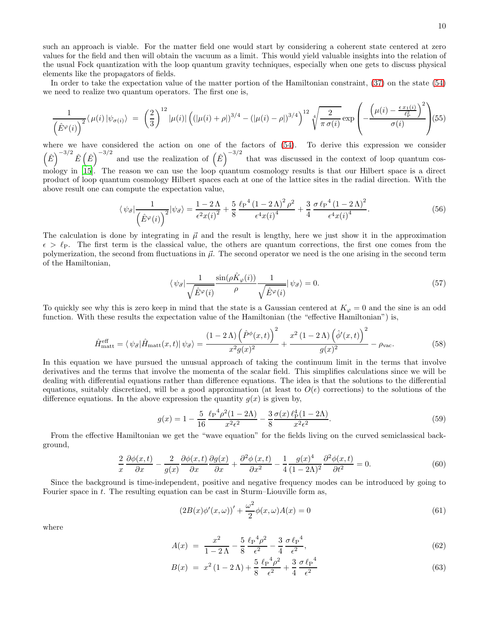such an approach is viable. For the matter field one would start by considering a coherent state centered at zero values for the field and then will obtain the vacuum as a limit. This would yield valuable insights into the relation of the usual Fock quantization with the loop quantum gravity techniques, especially when one gets to discuss physical elements like the propagators of fields.

In order to take the expectation value of the matter portion of the Hamiltonian constraint, [\(37\)](#page-7-2) on the state [\(54\)](#page-9-0) we need to realize two quantum operators. The first one is,

$$
\frac{1}{\left(\hat{E}^{\varphi}(i)\right)^2} \langle \mu(i) | \psi_{\sigma(i)} \rangle = \left(\frac{2}{3}\right)^{12} |\mu(i)| \left( \left(|\mu(i) + \rho|\right)^{3/4} - \left(|\mu(i) - \rho|\right)^{3/4} \right)^{12} \sqrt[4]{\frac{2}{\pi \sigma(i)}} \exp\left(-\frac{\left(\mu(i) - \frac{\epsilon x_1(i)}{\ell_P^2}\right)^2}{\sigma(i)}\right) (55)
$$

where we have considered the action on one of the factors of [\(54\)](#page-9-0). To derive this expression we consider  $(\hat{E})^{-3/2} \hat{E}(\hat{E})^{-3/2}$  and use the realization of  $(\hat{E})^{-3/2}$  that was discussed in the context of loop quantum cosmology in [\[15](#page-15-12)]. The reason we can use the loop quantum cosmology results is that our Hilbert space is a direct product of loop quantum cosmology Hilbert spaces each at one of the lattice sites in the radial direction. With the above result one can compute the expectation value,

<span id="page-10-1"></span>
$$
\langle \psi_{\vec{\sigma}} | \frac{1}{\left(\hat{E}^{\varphi}(i)\right)^2} | \psi_{\vec{\sigma}} \rangle = \frac{1 - 2\,\Lambda}{\epsilon^2 x(i)^2} + \frac{5}{8} \frac{\ell_P^4 \left(1 - 2\,\Lambda\right)^2 \rho^2}{\epsilon^4 x(i)^4} + \frac{3}{4} \frac{\sigma \ell_P^4 \left(1 - 2\,\Lambda\right)^2}{\epsilon^4 x(i)^4}.
$$
 (56)

The calculation is done by integrating in  $\vec{\mu}$  and the result is lengthy, here we just show it in the approximation  $\epsilon > \ell_P$ . The first term is the classical value, the others are quantum corrections, the first one comes from the polymerization, the second from fluctuations in  $\vec{\mu}$ . The second operator we need is the one arising in the second term of the Hamiltonian,

$$
\langle \psi_{\vec{\sigma}} | \frac{1}{\sqrt{\hat{E}^{\varphi}(i)}} \frac{\sin(\rho \hat{K}_{\varphi}(i))}{\rho} \frac{1}{\sqrt{\hat{E}^{\varphi}(i)}} | \psi_{\vec{\sigma}} \rangle = 0. \tag{57}
$$

To quickly see why this is zero keep in mind that the state is a Gaussian centered at  $K_{\varphi} = 0$  and the sine is an odd function. With these results the expectation value of the Hamiltonian (the "effective Hamiltonian") is,

<span id="page-10-0"></span>
$$
\hat{H}_{\text{matt}}^{\text{eff}} = \langle \psi_{\vec{\sigma}} | \hat{H}_{\text{matt}}(x, t) | \psi_{\vec{\sigma}} \rangle = \frac{(1 - 2\Lambda) \left( \hat{P}^{\phi}(x, t) \right)^2}{x^2 g(x)^2} + \frac{x^2 (1 - 2\Lambda) \left( \hat{\phi}'(x, t) \right)^2}{g(x)^2} - \rho_{\text{vac}}.
$$
\n(58)

In this equation we have pursued the unusual approach of taking the continuum limit in the terms that involve derivatives and the terms that involve the momenta of the scalar field. This simplifies calculations since we will be dealing with differential equations rather than difference equations. The idea is that the solutions to the differential equations, suitably discretized, will be a good approximation (at least to  $O(\epsilon)$  corrections) to the solutions of the difference equations. In the above expression the quantity  $g(x)$  is given by,

$$
g(x) = 1 - \frac{5}{16} \frac{\ell_P^4 \rho^2 (1 - 2\Lambda)}{x^2 \epsilon^2} - \frac{3}{8} \frac{\sigma(x) \ell_P^4 (1 - 2\Lambda)}{x^2 \epsilon^2}.
$$
 (59)

From the effective Hamiltonian we get the "wave equation" for the fields living on the curved semiclassical background,

$$
\frac{2}{x}\frac{\partial\phi(x,t)}{\partial x} - \frac{2}{g(x)}\frac{\partial\phi(x,t)}{\partial x}\frac{\partial g(x)}{\partial x} + \frac{\partial^2\phi(x,t)}{\partial x^2} - \frac{1}{4}\frac{g(x)^4}{(1-2\Lambda)^2}\frac{\partial^2\phi(x,t)}{\partial t^2} = 0.
$$
\n(60)

Since the background is time-independent, positive and negative frequency modes can be introduced by going to Fourier space in t. The resulting equation can be cast in Sturm–Liouville form as,

$$
(2B(x)\phi'(x,\omega))' + \frac{\omega^2}{2}\phi(x,\omega)A(x) = 0
$$
\n(61)

where

$$
A(x) = \frac{x^2}{1 - 2\,\Lambda} - \frac{5}{8} \frac{\ell P^4 \rho^2}{\epsilon^2} - \frac{3}{4} \frac{\sigma \ell P^4}{\epsilon^2},\tag{62}
$$

$$
B(x) = x^{2} (1 - 2 \Lambda) + \frac{5}{8} \frac{\ell_{P}^{4} \rho^{2}}{\epsilon^{2}} + \frac{3}{4} \frac{\sigma \ell_{P}^{4}}{\epsilon^{2}}
$$
(63)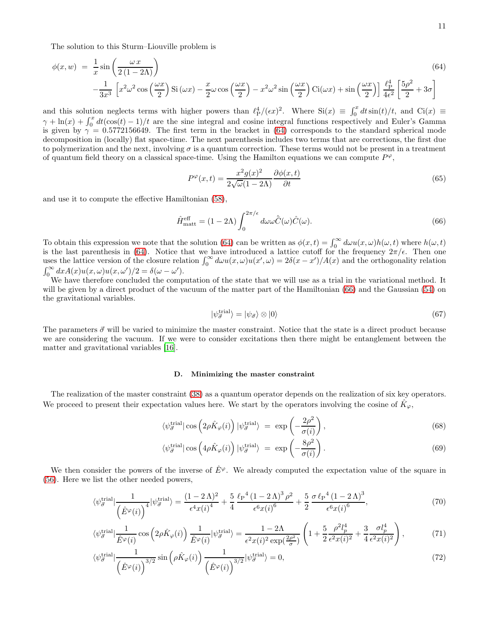The solution to this Sturm–Liouville problem is

<span id="page-11-0"></span>
$$
\phi(x, w) = \frac{1}{x} \sin\left(\frac{\omega x}{2(1 - 2\Lambda)}\right)
$$
\n
$$
-\frac{1}{3x^3} \left[ x^2 \omega^2 \cos\left(\frac{\omega x}{2}\right) \text{Si}(\omega x) - \frac{x}{2} \omega \cos\left(\frac{\omega x}{2}\right) - x^2 \omega^2 \sin\left(\frac{\omega x}{2}\right) \text{Ci}(\omega x) + \sin\left(\frac{\omega x}{2}\right) \right] \frac{\ell_P^4}{4\epsilon^2} \left[ \frac{5\rho^2}{2} + 3\sigma \right]
$$
\n(64)

and this solution neglects terms with higher powers than  $\ell_{\rm P}^4/(\epsilon x)^2$ . Where  $\text{Si}(x) \equiv \int_0^x dt \sin(t)/t$ , and  $\text{Ci}(x) \equiv$  $\gamma + \ln(x) + \int_0^x dt(\cos(t) - 1)/t$  are the sine integral and cosine integral functions respectively and Euler's Gamma is given by  $\gamma = 0.5772156649$ . The first term in the bracket in [\(64\)](#page-11-0) corresponds to the standard spherical mode decomposition in (locally) flat space-time. The next parenthesis includes two terms that are corrections, the first due to polymerization and the next, involving  $\sigma$  is a quantum correction. These terms would not be present in a treatment of quantum field theory on a classical space-time. Using the Hamilton equations we can compute  $P^{\varphi}$ ,

$$
P^{\varphi}(x,t) = \frac{x^2 g(x)^2}{2\sqrt{\omega}(1-2\Lambda)} \frac{\partial \phi(x,t)}{\partial t}
$$
(65)

and use it to compute the effective Hamiltonian [\(58\)](#page-10-0),

<span id="page-11-1"></span>
$$
\hat{H}_{\text{matt}}^{\text{eff}} = (1 - 2\Lambda) \int_0^{2\pi/\epsilon} d\omega \omega \hat{\bar{C}}(\omega) \hat{C}(\omega). \tag{66}
$$

To obtain this expression we note that the solution [\(64\)](#page-11-0) can be written as  $\phi(x,t) = \int_0^\infty d\omega u(x,\omega)h(\omega,t)$  where  $h(\omega,t)$ is the last parenthesis in [\(64\)](#page-11-0). Notice that we have introduced a lattice cutoff for the frequency  $2\pi/\epsilon$ . Then one uses the lattice version of the closure relation  $\int_0^\infty d\omega u(x,\omega)u(x',\omega) = 2\delta(x-x')/A(x)$  and the orthogonality relation  $\int_0^\infty dx A(x)u(x,\omega)u(x,\omega')/2 = \delta(\omega - \omega').$ 

We have therefore concluded the computation of the state that we will use as a trial in the variational method. It will be given by a direct product of the vacuum of the matter part of the Hamiltonian [\(66\)](#page-11-1) and the Gaussian [\(54\)](#page-9-0) on the gravitational variables.

$$
|\psi_{\vec{\sigma}}^{\text{trial}}\rangle = |\psi_{\vec{\sigma}}\rangle \otimes |0\rangle \tag{67}
$$

The parameters  $\vec{\sigma}$  will be varied to minimize the master constraint. Notice that the state is a direct product because we are considering the vacuum. If we were to consider excitations then there might be entanglement between the matter and gravitational variables [\[16\]](#page-15-13).

#### D. Minimizing the master constraint

The realization of the master constraint [\(38\)](#page-7-3) as a quantum operator depends on the realization of six key operators. We proceed to present their expectation values here. We start by the operators involving the cosine of  $\hat{K}_{\varphi}$ ,

<span id="page-11-2"></span>
$$
\langle \psi_{\vec{\sigma}}^{\text{trial}} | \cos \left( 2\rho \hat{K}_{\varphi}(i) \right) | \psi_{\vec{\sigma}}^{\text{trial}} \rangle = \exp \left( -\frac{2\rho^2}{\sigma(i)} \right), \tag{68}
$$

$$
\langle \psi_{\vec{\sigma}}^{\text{trial}} | \cos \left( 4\rho \hat{K}_{\varphi}(i) \right) | \psi_{\vec{\sigma}}^{\text{trial}} \rangle = \exp \left( -\frac{8\rho^2}{\sigma(i)} \right). \tag{69}
$$

We then consider the powers of the inverse of  $\hat{E}^{\varphi}$ . We already computed the expectation value of the square in [\(56\)](#page-10-1). Here we list the other needed powers,

<span id="page-11-3"></span>
$$
\langle \psi_{\vec{\sigma}}^{\text{trial}} | \frac{1}{\left(\hat{E}^{\varphi}(i)\right)^{4}} | \psi_{\vec{\sigma}}^{\text{trial}} \rangle = \frac{(1 - 2\,\Lambda)^{2}}{\epsilon^{4}x(i)^{4}} + \frac{5}{4} \frac{\ell_{P}^{4} (1 - 2\,\Lambda)^{3} \rho^{2}}{\epsilon^{6}x(i)^{6}} + \frac{5}{2} \frac{\sigma \ell_{P}^{4} (1 - 2\,\Lambda)^{3}}{\epsilon^{6}x(i)^{6}},\tag{70}
$$

$$
\langle \psi_{\vec{\sigma}}^{\text{trial}} | \frac{1}{\hat{E}^{\varphi}(i)} \cos \left( 2\rho \hat{K}_{\varphi}(i) \right) \frac{1}{\hat{E}^{\varphi}(i)} | \psi_{\vec{\sigma}}^{\text{trial}} \rangle = \frac{1 - 2\Lambda}{\epsilon^2 x(i)^2 \exp(\frac{2\rho^2}{\sigma})} \left( 1 + \frac{5}{2} \frac{\rho^2 l_p^4}{\epsilon^2 x(i)^2} + \frac{3}{4} \frac{\sigma l_p^4}{\epsilon^2 x(i)^2} \right), \tag{71}
$$

$$
\langle \psi_{\vec{\sigma}}^{\text{trial}} | \frac{1}{\left(\hat{E}^{\varphi}(i)\right)^{3/2}} \sin \left(\rho \hat{K}_{\varphi}(i)\right) \frac{1}{\left(\hat{E}^{\varphi}(i)\right)^{3/2}} | \psi_{\vec{\sigma}}^{\text{trial}} \rangle = 0, \tag{72}
$$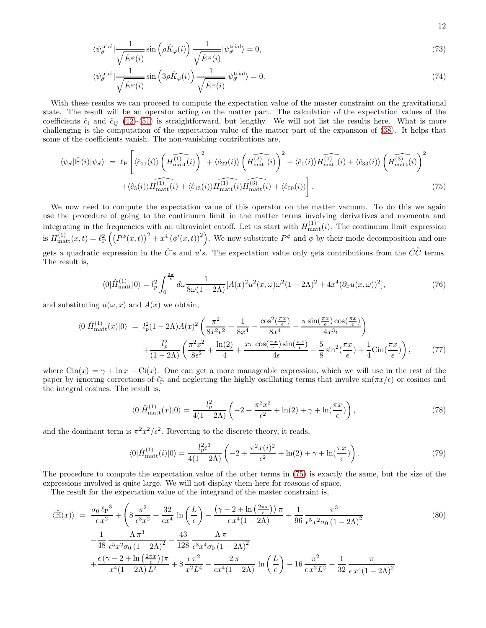$$
\langle \psi_{\vec{\sigma}}^{\text{trial}} | \frac{1}{\sqrt{\hat{E}^{\varphi}(i)}} \sin \left( \rho \hat{K}_{\varphi}(i) \right) \frac{1}{\sqrt{\hat{E}^{\varphi}(i)}} | \psi_{\vec{\sigma}}^{\text{trial}} \rangle = 0, \tag{73}
$$

$$
\langle \psi_{\vec{\sigma}}^{\text{trial}} | \frac{1}{\sqrt{\hat{E}^{\varphi}(i)}} \sin \left( 3\rho \hat{K}_{\varphi}(i) \right) \frac{1}{\sqrt{\hat{E}^{\varphi}(i)}} | \psi_{\vec{\sigma}}^{\text{trial}} \rangle = 0. \tag{74}
$$

With these results we can proceed to compute the expectation value of the master constraint on the gravitational state. The result will be an operator acting on the matter part. The calculation of the expectation values of the coefficients  $\hat{c}_i$  and  $\hat{c}_{ij}$  [\(42\)](#page-8-0)-[\(51\)](#page-8-0) is straightforward, but lengthy. We will not list the results here. What is more challenging is the computation of the expectation value of the matter part of the expansion of [\(38\)](#page-7-3). It helps that some of the coefficients vanish. The non-vanishing contributions are,

<span id="page-12-0"></span>
$$
\langle \psi_{\vec{\sigma}} | \hat{\mathbb{H}}(i) | \psi_{\vec{\sigma}} \rangle = \ell_{\text{P}} \left[ \langle \hat{c}_{11}(i) \rangle \left( \widehat{H_{\text{matt}}^{(1)}}(i) \right)^2 + \langle \hat{c}_{22}(i) \rangle \left( \widehat{H_{\text{matt}}^{(2)}}(i) \right)^2 + \langle \hat{c}_1(i) \rangle \widehat{H_{\text{matt}}^{(1)}}(i) + \langle \hat{c}_{33}(i) \rangle \left( \widehat{H_{\text{matt}}^{(3)}}(i) \right)^2 + \langle \hat{c}_2(i) \rangle \widehat{H_{\text{matt}}^{(1)}}(i) + \langle \hat{c}_{33}(i) \rangle \widehat{H_{\text{matt}}^{(1)}}(i) + \langle \hat{c}_{33}(i) \rangle \widehat{H_{\text{matt}}^{(2)}}(i) \right]. \tag{75}
$$

We now need to compute the expectation value of this operator on the matter vacuum. To do this we again use the procedure of going to the continuum limit in the matter terms involving derivatives and momenta and integrating in the frequencies with an ultraviolet cutoff. Let us start with  $H_{\text{matt}}^{(1)}(i)$ . The continuum limit expression is  $H_{\text{matt}}^{(1)}(x,t) = \ell_{\text{P}}^2 \left( \left( P^{\phi}(x,t) \right)^2 + x^4 \left( \phi'(x,t) \right)^2 \right)$ . We now substitute  $P^{\phi}$  and  $\phi$  by their mode decomposition and one gets a quadratic expression in the  $\hat{C}$ 's and u's. The expectation value only gets contributions from the  $\hat{C}\hat{\bar{C}}$  terms. The result is,

$$
\langle 0|\hat{H}_{\text{matt}}^{(1)}|0\rangle = l_p^2 \int_0^{\frac{2\pi}{\epsilon}} d\omega \frac{1}{8\omega(1-2\Lambda)} [A(x)^2 u^2(x,\omega) \omega^2 (1-2\Lambda)^2 + 4x^4 (\partial_x u(x,\omega))^2],\tag{76}
$$

and substituting  $u(\omega, x)$  and  $A(x)$  we obtain,

$$
\langle 0|\hat{H}_{\text{matt}}^{(1)}(x)|0\rangle = l_p^2(1-2\Lambda)A(x)^2 \left(\frac{\pi^2}{8x^2\epsilon^2} + \frac{1}{8x^4} - \frac{\cos^2(\frac{\pi x}{\epsilon})}{8x^4} - \frac{\pi \sin(\frac{\pi x}{\epsilon})\cos(\frac{\pi x}{\epsilon})}{4x^3\epsilon}\right) + \frac{l_p^2}{(1-2\Lambda)} \left(\frac{\pi^2 x^2}{8\epsilon^2} + \frac{\ln(2)}{4} + \frac{x\pi \cos(\frac{\pi x}{\epsilon})\sin(\frac{\pi x}{\epsilon})}{4\epsilon} - \frac{5}{8}\sin^2(\frac{\pi x}{\epsilon}) + \frac{1}{4}\text{Cin}(\frac{\pi x}{\epsilon})\right),\tag{77}
$$

where  $\text{Cin}(x) = \gamma + \ln x - \text{Ci}(x)$ . One can get a more manageable expression, which we will use in the rest of the paper by ignoring corrections of  $\ell_P^4$  and neglecting the highly oscillating terms that involve  $\sin(\pi x/\epsilon)$  or cosines and the integral cosines. The result is,

$$
\langle 0|\hat{H}_{\text{matt}}^{(1)}(x)|0\rangle = \frac{l_p^2}{4(1-2\Lambda)} \left(-2 + \frac{\pi^2 x^2}{\epsilon^2} + \ln(2) + \gamma + \ln(\frac{\pi x}{\epsilon})\right),\tag{78}
$$

and the dominant term is  $\pi^2 x^2/\epsilon^2$ . Reverting to the discrete theory, it reads,

$$
\langle 0|\hat{H}_{\text{matt}}^{(1)}(i)|0\rangle = \frac{l_p^2 \epsilon^3}{4(1-2\Lambda)} \left(-2 + \frac{\pi^2 x(i)^2}{\epsilon^2} + \ln(2) + \gamma + \ln(\frac{\pi x}{\epsilon})\right). \tag{79}
$$

The procedure to compute the expectation value of the other terms in [\(75\)](#page-12-0) is exactly the same, but the size of the expressions involved is quite large. We will not display them here for reasons of space.

The result for the expectation value of the integrand of the master constraint is,

$$
\langle \hat{\mathbb{H}}(x) \rangle = \frac{\sigma_0 \ell_P^3}{\epsilon x^2} + \left( 8 \frac{\pi^2}{\epsilon^3 x^2} + \frac{32}{\epsilon x^4} \ln \left( \frac{L}{\epsilon} \right) - \frac{\left( \gamma - 2 + \ln \left( \frac{2\pi x}{\epsilon} \right) \right) \pi}{\epsilon x^4 (1 - 2\Lambda)} + \frac{1}{96} \frac{\pi^3}{\epsilon^5 x^2 \sigma_0 (1 - 2\Lambda)^2} - \frac{1}{48} \frac{\Lambda \pi^3}{\epsilon^5 x^2 \sigma_0 (1 - 2\Lambda)^2} - \frac{43}{128} \frac{\Lambda \pi}{\epsilon^3 x^4 \sigma_0 (1 - 2\Lambda)^2} + \frac{\epsilon (\gamma - 2 + \ln \left( \frac{2\pi x}{\epsilon} \right)) \pi}{x^4 (1 - 2\Lambda) L^2} + 8 \frac{\epsilon \pi^2}{x^2 L^4} - \frac{2\pi}{\epsilon x^4 (1 - 2\Lambda)} \ln \left( \frac{L}{\epsilon} \right) - 16 \frac{\pi^2}{\epsilon x^2 L^2} + \frac{1}{32} \frac{\pi}{\epsilon x^4 (1 - 2\Lambda)^2}
$$
\n
$$
(80)
$$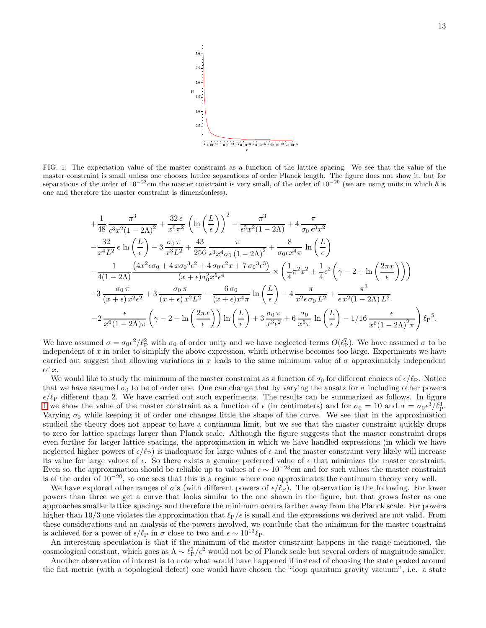

<span id="page-13-0"></span>FIG. 1: The expectation value of the master constraint as a function of the lattice spacing. We see that the value of the master constraint is small unless one chooses lattice separations of order Planck length. The figure does not show it, but for separations of the order of  $10^{-23}$ cm the master constraint is very small, of the order of  $10^{-20}$  (we are using units in which  $\hbar$  is one and therefore the master constraint is dimensionless).

$$
+\frac{1}{48} \frac{\pi^3}{\epsilon^3 x^2 (1-2\Lambda)^2} + \frac{32 \epsilon}{x^6 \pi^2} \left( \ln \left( \frac{L}{\epsilon} \right) \right)^2 - \frac{\pi^3}{\epsilon^3 x^2 (1-2\Lambda)} + 4 \frac{\pi}{\sigma_0 \epsilon^3 x^2} -\frac{32}{x^4 L^2} \epsilon \ln \left( \frac{L}{\epsilon} \right) - 3 \frac{\sigma_0 \pi}{x^3 L^2} + \frac{43}{256} \frac{\pi}{\epsilon^3 x^4 \sigma_0 (1-2\Lambda)^2} + \frac{8}{\sigma_0 \epsilon x^4 \pi} \ln \left( \frac{L}{\epsilon} \right) -\frac{1}{4(1-2\Lambda)} \frac{\left( 4x^2 \epsilon \sigma_0 + 4x \sigma_0^3 \epsilon^2 + 4 \sigma_0 \epsilon^2 x + 7 \sigma_0^3 \epsilon^3 \right)}{(x+\epsilon)\sigma_0^2 x^5 \epsilon^4} \times \left( \frac{1}{4} \pi^2 x^2 + \frac{1}{4} \epsilon^2 \left( \gamma - 2 + \ln \left( \frac{2\pi x}{\epsilon} \right) \right) \right) - 3 \frac{\sigma_0 \pi}{(x+\epsilon)x^2 \epsilon^2} + 3 \frac{\sigma_0 \pi}{(x+\epsilon)x^2 L^2} - \frac{6 \sigma_0}{(x+\epsilon)x^4 \pi} \ln \left( \frac{L}{\epsilon} \right) - 4 \frac{\pi}{x^2 \epsilon \sigma_0 L^2} + \frac{\pi^3}{\epsilon x^2 (1-2\Lambda) L^2} - 2 \frac{\epsilon}{x^6 (1-2\Lambda) \pi} \left( \gamma - 2 + \ln \left( \frac{2\pi x}{\epsilon} \right) \right) \ln \left( \frac{L}{\epsilon} \right) + 3 \frac{\sigma_0 \pi}{x^3 \epsilon^2} + 6 \frac{\sigma_0}{x^5 \pi} \ln \left( \frac{L}{\epsilon} \right) - \frac{1}{16} \frac{\epsilon}{x^6 (1-2\Lambda)^2 \pi} \right) \ell_P^5.
$$

We have assumed  $\sigma = \sigma_0 \epsilon^2 / \ell_{\rm P}^2$  with  $\sigma_0$  of order unity and we have neglected terms  $O(\ell_{\rm P}^7)$ . We have assumed  $\sigma$  to be independent of x in order to simplify the above expression, which otherwise becomes too large. Experiments we have carried out suggest that allowing variations in x leads to the same minimum value of  $\sigma$  approximately independent of x.

We would like to study the minimum of the master constraint as a function of  $\sigma_0$  for different choices of  $\epsilon/\ell_P$ . Notice that we have assumed  $\sigma_0$  to be of order one. One can change that by varying the ansatz for  $\sigma$  including other powers  $\epsilon/\ell_P$  different than 2. We have carried out such experiments. The results can be summarized as follows. In figure [1](#page-13-0) we show the value of the master constraint as a function of  $\epsilon$  (in centimeters) and for  $\sigma_0 = 10$  and  $\sigma = \sigma_0 \epsilon^3 / \ell_P^3$ . Varying  $\sigma_0$  while keeping it of order one changes little the shape of the curve. We see that in the approximation studied the theory does not appear to have a continuum limit, but we see that the master constraint quickly drops to zero for lattice spacings larger than Planck scale. Although the figure suggests that the master constraint drops even further for larger lattice spacings, the approximation in which we have handled expressions (in which we have neglected higher powers of  $\epsilon/\ell_P$ ) is inadequate for large values of  $\epsilon$  and the master constraint very likely will increase its value for large values of  $\epsilon$ . So there exists a genuine preferred value of  $\epsilon$  that minimizes the master constraint. Even so, the approximation should be reliable up to values of  $\epsilon \sim 10^{-23}$ cm and for such values the master constraint is of the order of 10−<sup>20</sup>, so one sees that this is a regime where one approximates the continuum theory very well.

We have explored other ranges of  $\sigma$ 's (with different powers of  $\epsilon/\ell_P$ ). The observation is the following. For lower powers than three we get a curve that looks similar to the one shown in the figure, but that grows faster as one approaches smaller lattice spacings and therefore the minimum occurs farther away from the Planck scale. For powers higher than 10/3 one violates the approximation that  $\ell_P/\epsilon$  is small and the expressions we derived are not valid. From these considerations and an analysis of the powers involved, we conclude that the minimum for the master constraint is achieved for a power of  $\epsilon/\ell_P$  in  $\sigma$  close to two and  $\epsilon \sim 10^{13} \ell_P$ .

An interesting speculation is that if the minimum of the master constraint happens in the range mentioned, the cosmological constant, which goes as  $\Lambda \sim \ell_P^2/\epsilon^2$  would not be of Planck scale but several orders of magnitude smaller.

Another observation of interest is to note what would have happened if instead of choosing the state peaked around the flat metric (with a topological defect) one would have chosen the "loop quantum gravity vacuum", i.e. a state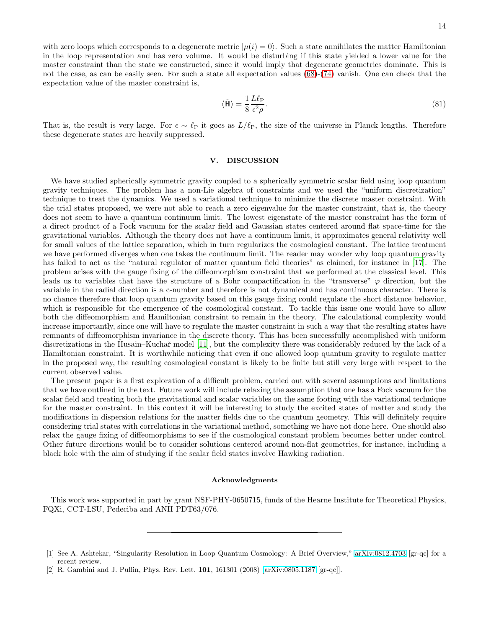with zero loops which corresponds to a degenerate metric  $|\mu(i) = 0\rangle$ . Such a state annihilates the matter Hamiltonian in the loop representation and has zero volume. It would be disturbing if this state yielded a lower value for the master constraint than the state we constructed, since it would imply that degenerate geometries dominate. This is not the case, as can be easily seen. For such a state all expectation values [\(68\)](#page-11-2)-[\(74\)](#page-11-3) vanish. One can check that the expectation value of the master constraint is,

$$
\langle \hat{\mathbb{H}} \rangle = \frac{1}{8} \frac{L \ell_{\text{P}}}{\epsilon^2 \rho}.
$$
\n(81)

That is, the result is very large. For  $\epsilon \sim \ell_{\rm P}$  it goes as  $L/\ell_{\rm P}$ , the size of the universe in Planck lengths. Therefore these degenerate states are heavily suppressed.

#### V. DISCUSSION

We have studied spherically symmetric gravity coupled to a spherically symmetric scalar field using loop quantum gravity techniques. The problem has a non-Lie algebra of constraints and we used the "uniform discretization" technique to treat the dynamics. We used a variational technique to minimize the discrete master constraint. With the trial states proposed, we were not able to reach a zero eigenvalue for the master constraint, that is, the theory does not seem to have a quantum continuum limit. The lowest eigenstate of the master constraint has the form of a direct product of a Fock vacuum for the scalar field and Gaussian states centered around flat space-time for the gravitational variables. Although the theory does not have a continuum limit, it approximates general relativity well for small values of the lattice separation, which in turn regularizes the cosmological constant. The lattice treatment we have performed diverges when one takes the continuum limit. The reader may wonder why loop quantum gravity has failed to act as the "natural regulator of matter quantum field theories" as claimed, for instance in [\[17\]](#page-15-14). The problem arises with the gauge fixing of the diffeomorphism constraint that we performed at the classical level. This leads us to variables that have the structure of a Bohr compactification in the "transverse"  $\varphi$  direction, but the variable in the radial direction is a c-number and therefore is not dynamical and has continuous character. There is no chance therefore that loop quantum gravity based on this gauge fixing could regulate the short distance behavior, which is responsible for the emergence of the cosmological constant. To tackle this issue one would have to allow both the diffeomorphism and Hamiltonian constraint to remain in the theory. The calculational complexity would increase importantly, since one will have to regulate the master constraint in such a way that the resulting states have remnants of diffeomorphism invariance in the discrete theory. This has been successfully accomplished with uniform discretizations in the Husain–Kuchař model [\[11\]](#page-15-8), but the complexity there was considerably reduced by the lack of a Hamiltonian constraint. It is worthwhile noticing that even if one allowed loop quantum gravity to regulate matter in the proposed way, the resulting cosmological constant is likely to be finite but still very large with respect to the current observed value.

The present paper is a first exploration of a difficult problem, carried out with several assumptions and limitations that we have outlined in the text. Future work will include relaxing the assumption that one has a Fock vacuum for the scalar field and treating both the gravitational and scalar variables on the same footing with the variational technique for the master constraint. In this context it will be interesting to study the excited states of matter and study the modifications in dispersion relations for the matter fields due to the quantum geometry. This will definitely require considering trial states with correlations in the variational method, something we have not done here. One should also relax the gauge fixing of diffeomorphisms to see if the cosmological constant problem becomes better under control. Other future directions would be to consider solutions centered around non-flat geometries, for instance, including a black hole with the aim of studying if the scalar field states involve Hawking radiation.

#### Acknowledgments

This work was supported in part by grant NSF-PHY-0650715, funds of the Hearne Institute for Theoretical Physics, FQXi, CCT-LSU, Pedeciba and ANII PDT63/076.

<span id="page-14-0"></span><sup>[1]</sup> See A. Ashtekar, "Singularity Resolution in Loop Quantum Cosmology: A Brief Overview," [arXiv:0812.4703](http://arxiv.org/abs/0812.4703) [gr-qc] for a recent review.

<span id="page-14-1"></span><sup>[2]</sup> R. Gambini and J. Pullin, Phys. Rev. Lett. 101, 161301 (2008) [\[arXiv:0805.1187](http://arxiv.org/abs/0805.1187) [gr-qc]].